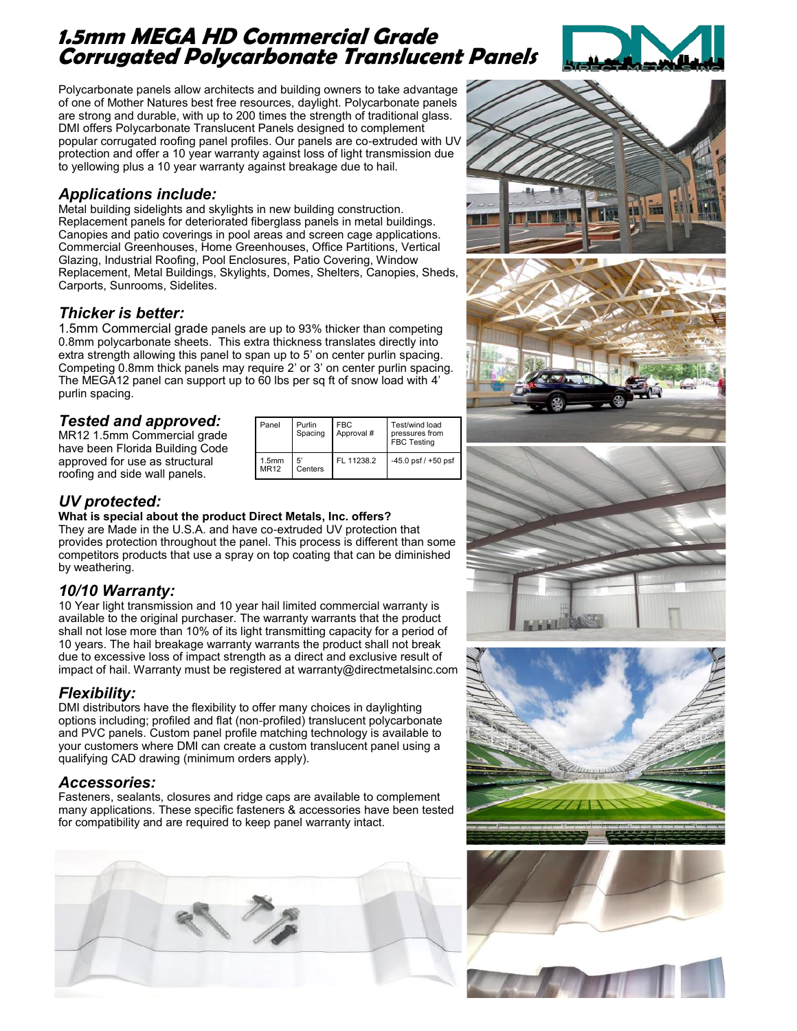# **1.5mm MEGA HD Commercial Grade Corrugated Polycarbonate Translucent Panels**



Polycarbonate panels allow architects and building owners to take advantage of one of Mother Natures best free resources, daylight. Polycarbonate panels are strong and durable, with up to 200 times the strength of traditional glass. DMI offers Polycarbonate Translucent Panels designed to complement popular corrugated roofing panel profiles. Our panels are co-extruded with UV protection and offer a 10 year warranty against loss of light transmission due to yellowing plus a 10 year warranty against breakage due to hail.

#### *Applications include:*

Metal building sidelights and skylights in new building construction. Replacement panels for deteriorated fiberglass panels in metal buildings. Canopies and patio coverings in pool areas and screen cage applications. Commercial Greenhouses, Home Greenhouses, Office Partitions, Vertical Glazing, Industrial Roofing, Pool Enclosures, Patio Covering, Window Replacement, Metal Buildings, Skylights, Domes, Shelters, Canopies, Sheds, Carports, Sunrooms, Sidelites.

#### *Thicker is better:*

1.5mm Commercial grade panels are up to 93% thicker than competing 0.8mm polycarbonate sheets. This extra thickness translates directly into extra strength allowing this panel to span up to 5' on center purlin spacing. Competing 0.8mm thick panels may require 2' or 3' on center purlin spacing. The MEGA12 panel can support up to 60 lbs per sq ft of snow load with 4' purlin spacing.

## *Tested and approved:*

MR12 1.5mm Commercial grade have been Florida Building Code approved for use as structural roofing and side wall panels.

| Panel                            | Purlin<br>Spacing | <b>FBC</b><br>Approval # | Test/wind load<br>pressures from<br><b>FBC Testing</b> |
|----------------------------------|-------------------|--------------------------|--------------------------------------------------------|
| 1.5 <sub>mm</sub><br><b>MR12</b> | 5'<br>Centers     | FL 11238.2               | -45.0 psf / +50 psf                                    |

## *UV protected:*

**What is special about the product Direct Metals, Inc. offers?** They are Made in the U.S.A. and have co-extruded UV protection that provides protection throughout the panel. This process is different than some competitors products that use a spray on top coating that can be diminished by weathering.

#### *10/10 Warranty:*

10 Year light transmission and 10 year hail limited commercial warranty is available to the original purchaser. The warranty warrants that the product shall not lose more than 10% of its light transmitting capacity for a period of 10 years. The hail breakage warranty warrants the product shall not break due to excessive loss of impact strength as a direct and exclusive result of impact of hail. Warranty must be registered at warranty@directmetalsinc.com

#### *Flexibility:*

DMI distributors have the flexibility to offer many choices in daylighting options including; profiled and flat (non-profiled) translucent polycarbonate and PVC panels. Custom panel profile matching technology is available to your customers where DMI can create a custom translucent panel using a qualifying CAD drawing (minimum orders apply).

#### *Accessories:*

Fasteners, sealants, closures and ridge caps are available to complement many applications. These specific fasteners & accessories have been tested for compatibility and are required to keep panel warranty intact.